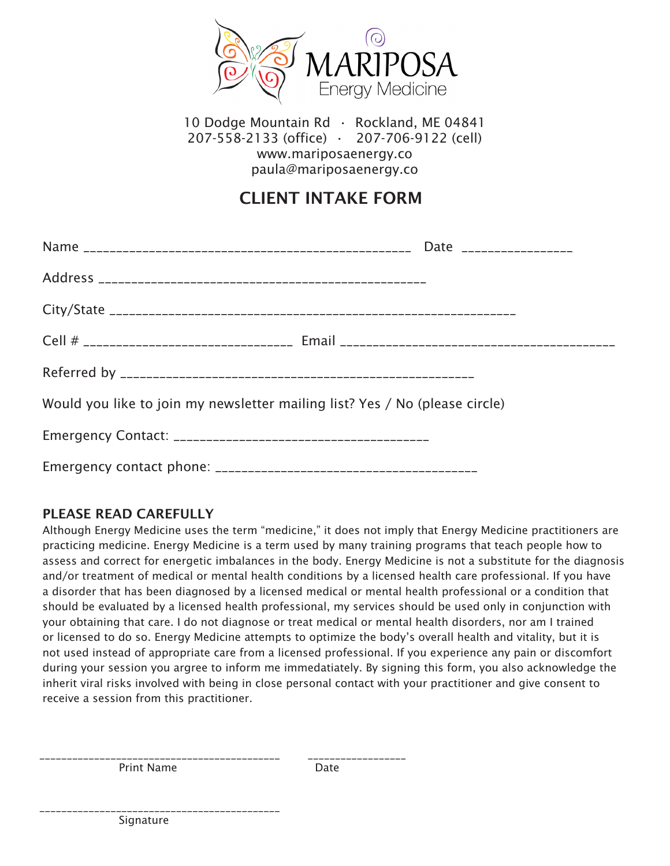

10 Dodge Mountain Rd · Rockland, ME 04841 207-558-2133 (office) • 207-706-9122 (cell) www.mariposaenergy.co paula@mariposaenergy.co

## CLIENT INTAKE FORM

| Would you like to join my newsletter mailing list? Yes / No (please circle) |  |
|-----------------------------------------------------------------------------|--|
|                                                                             |  |
|                                                                             |  |

## PLEASE READ CAREFULLY

Although Energy Medicine uses the term "medicine," it does not imply that Energy Medicine practitioners are practicing medicine. Energy Medicine is a term used by many training programs that teach people how to assess and correct for energetic imbalances in the body. Energy Medicine is not a substitute for the diagnosis and/or treatment of medical or mental health conditions by a licensed health care professional. If you have a disorder that has been diagnosed by a licensed medical or mental health professional or a condition that should be evaluated by a licensed health professional, my services should be used only in conjunction with your obtaining that care. I do not diagnose or treat medical or mental health disorders, nor am I trained or licensed to do so. Energy Medicine attempts to optimize the body's overall health and vitality, but it is not used instead of appropriate care from a licensed professional. If you experience any pain or discomfort during your session you argree to inform me immedatiately. By signing this form, you also acknowledge the inherit viral risks involved with being in close personal contact with your practitioner and give consent to receive a session from this practitioner.

\_\_\_\_\_\_\_\_\_\_\_\_\_\_\_\_\_\_\_\_\_\_\_\_\_\_\_\_\_\_\_\_\_\_\_\_\_\_\_\_\_\_\_\_ \_\_\_\_\_\_\_\_\_\_\_\_\_\_\_\_\_\_ Print Name Date

\_\_\_\_\_\_\_\_\_\_\_\_\_\_\_\_\_\_\_\_\_\_\_\_\_\_\_\_\_\_\_\_\_\_\_\_\_\_\_\_\_\_\_\_

Signature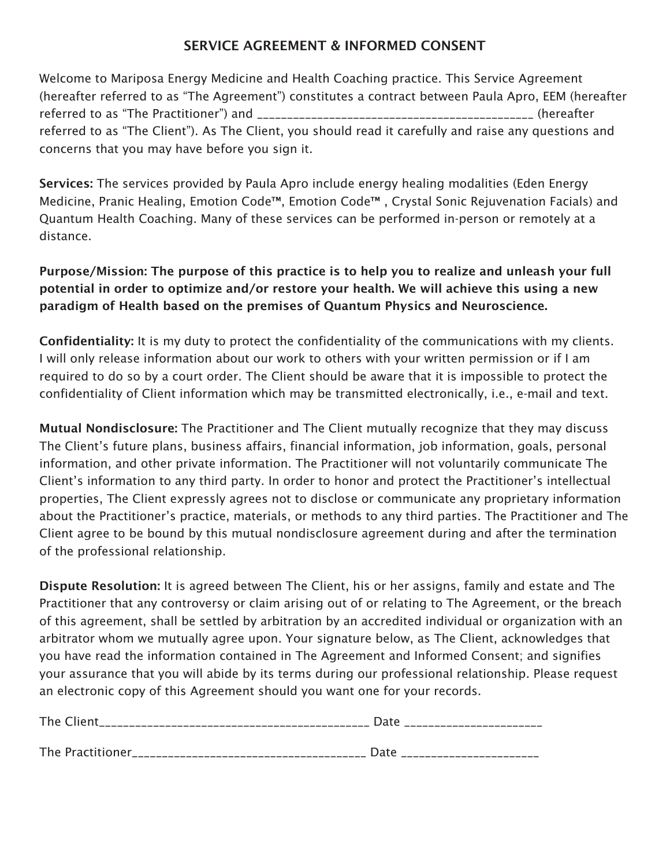## SERVICE AGREEMENT & INFORMED CONSENT

Welcome to Mariposa Energy Medicine and Health Coaching practice. This Service Agreement (hereafter referred to as "The Agreement") constitutes a contract between Paula Apro, EEM (hereafter referred to as "The Practitioner") and \_\_\_\_\_\_\_\_\_\_\_\_\_\_\_\_\_\_\_\_\_\_\_\_\_\_\_\_\_\_\_\_\_\_\_\_\_\_\_\_\_\_\_\_\_\_ (hereafter referred to as "The Client"). As The Client, you should read it carefully and raise any questions and concerns that you may have before you sign it.

Services: The services provided by Paula Apro include energy healing modalities (Eden Energy Medicine, Pranic Healing, Emotion Code™, Emotion Code™ , Crystal Sonic Rejuvenation Facials) and Quantum Health Coaching. Many of these services can be performed in-person or remotely at a distance.

Purpose/Mission: The purpose of this practice is to help you to realize and unleash your full potential in order to optimize and/or restore your health. We will achieve this using a new paradigm of Health based on the premises of Quantum Physics and Neuroscience.

Confidentiality: It is my duty to protect the confidentiality of the communications with my clients. I will only release information about our work to others with your written permission or if I am required to do so by a court order. The Client should be aware that it is impossible to protect the confidentiality of Client information which may be transmitted electronically, i.e., e-mail and text.

Mutual Nondisclosure: The Practitioner and The Client mutually recognize that they may discuss The Client's future plans, business affairs, financial information, job information, goals, personal information, and other private information. The Practitioner will not voluntarily communicate The Client's information to any third party. In order to honor and protect the Practitioner's intellectual properties, The Client expressly agrees not to disclose or communicate any proprietary information about the Practitioner's practice, materials, or methods to any third parties. The Practitioner and The Client agree to be bound by this mutual nondisclosure agreement during and after the termination of the professional relationship.

Dispute Resolution: It is agreed between The Client, his or her assigns, family and estate and The Practitioner that any controversy or claim arising out of or relating to The Agreement, or the breach of this agreement, shall be settled by arbitration by an accredited individual or organization with an arbitrator whom we mutually agree upon. Your signature below, as The Client, acknowledges that you have read the information contained in The Agreement and Informed Consent; and signifies your assurance that you will abide by its terms during our professional relationship. Please request an electronic copy of this Agreement should you want one for your records.

| The Client<br>_________________________________ | Date |  |  |  |  |  |  |
|-------------------------------------------------|------|--|--|--|--|--|--|
|                                                 |      |  |  |  |  |  |  |
| The Practitioner                                | Date |  |  |  |  |  |  |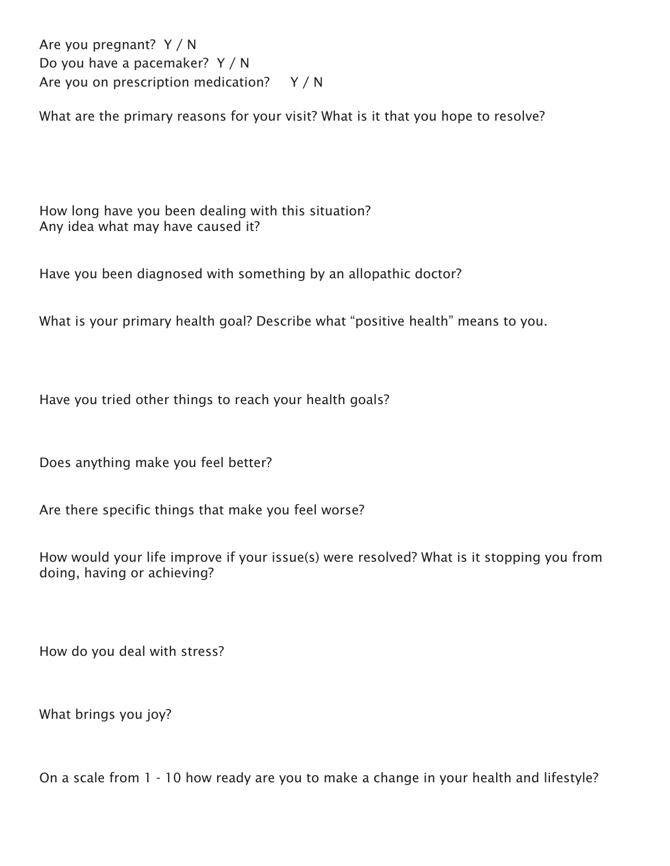Are you pregnant? Y / N Do you have a pacemaker? Y / N Are you on prescription medication? Y / N

What are the primary reasons for your visit? What is it that you hope to resolve?

How long have you been dealing with this situation? Any idea what may have caused it?

Have you been diagnosed with something by an allopathic doctor?

What is your primary health goal? Describe what "positive health" means to you.

Have you tried other things to reach your health goals?

Does anything make you feel better?

Are there specific things that make you feel worse?

How would your life improve if your issue(s) were resolved? What is it stopping you from doing, having or achieving?

How do you deal with stress?

What brings you joy?

On a scale from 1 - 10 how ready are you to make a change in your health and lifestyle?